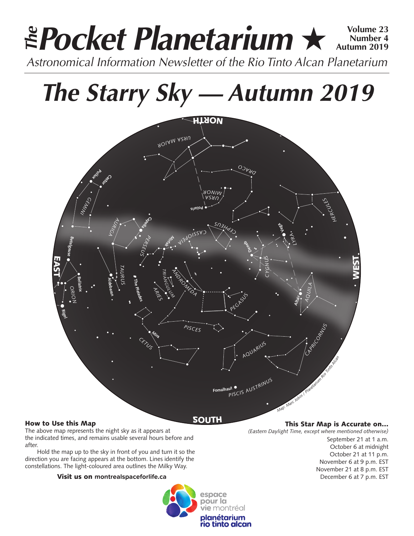## **Pocket Planetarium ★ 
Number 4 Number 4 Autumn 2019** *Astronomical Information Newsletter of the Rio Tinto Alcan Planetarium The*

## *The Starry Sky — Autumn 2019*



### How to Use this Map

The above map represents the night sky as it appears at the indicated times, and remains usable several hours before and after.

Hold the map up to the sky in front of you and turn it so the direction you are facing appears at the bottom. Lines identify the constellations. The light-coloured area outlines the Milky Way.

#### Visit us on **montrealspaceforlife.ca**



#### This Star Map is Accurate on…

*(Eastern Daylight Time, except where mentioned otherwise)*

September 21 at 1 a.m. October 6 at midnight October 21 at 11 p.m. November 6 at 9 p.m. EST November 21 at 8 p.m. EST December 6 at 7 p.m. EST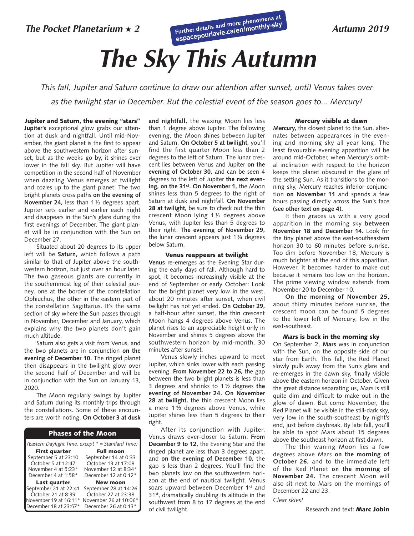*The Pocket Planetarium* ★*<sup>2</sup>* **Further details and more phenomena at [espacepourlavie.ca/en/monthly-sky](http://espacepourlavie.ca/en/monthly-sky)** 

### *Autumn 2019*

# *The Sky This Autumn*

*This fall, Jupiter and Saturn continue to draw our attention after sunset, until Venus takes over as the twilight star in December. But the celestial event of the season goes to... Mercury!* 

Jupiter and Saturn, the evening "stars" **Jupiter's** exceptional glow grabs our attention at dusk and nightfall. Until mid-November, the giant planet is the first to appear above the southwestern horizon after sunset, but as the weeks go by, it shines ever lower in the fall sky. But Jupiter will have competition in the second half of November when dazzling Venus emerges at twilight and cozies up to the giant planet: The two bright planets cross paths **on the evening of November 24,** less than 1½ degrees apart. Jupiter sets earlier and earlier each night and disappears in the Sun's glare during the first evenings of December. The giant planet will be in conjunction with the Sun on December 27.

Situated about 20 degrees to its upper left will be **Saturn,** which follows a path similar to that of Jupiter above the southwestern horizon, but just over an hour later. The two gaseous giants are currently in the southernmost leg of their celestial journey, one at the border of the constellation Ophiuchus, the other in the eastern part of the constellation Sagittarius. It's the same section of sky where the Sun passes through in November, December and January, which explains why the two planets don't gain much altitude.

Saturn also gets a visit from Venus, and the two planets are in conjunction **on the evening of December 10.** The ringed planet then disappears in the twilight glow over the second half of December and will be in conjunction with the Sun on January 13, 2020.

The Moon regularly swings by Jupiter and Saturn during its monthly trips through the constellations. Some of these encounters are worth noting. **On October 3 at dusk** 

#### Phases of the Moon

| (Eastern Daylight Time, except * = Standard Time) |                       |  |
|---------------------------------------------------|-----------------------|--|
| <b>First quarter</b>                              | <b>Full moon</b>      |  |
| September 5 at 23:10                              | September 14 at 0:33  |  |
| October 5 at 12:47                                | October 13 at 17:08   |  |
| November 4 at 5:23*                               | November 12 at 8:34*  |  |
| December 4 at 1:58*                               | December 12 at 0:12*  |  |
| Last quarter                                      | <b>New moon</b>       |  |
| September 21 at 22:41                             | September 28 at 14:26 |  |
| October 21 at 8:39                                | October 27 at 23:38   |  |
| November 19 at 16:11*                             | November 26 at 10:06* |  |
| December 18 at 23:57*                             | December 26 at 0:13*  |  |

**and nightfall,** the waxing Moon lies less than 1 degree above Jupiter. The following evening, the Moon shines between Jupiter and Saturn. **On October 5 at twilight,** you'll find the first quarter Moon less than 2 degrees to the left of Saturn. The lunar crescent lies between Venus and Jupiter **on the evening of October 30,** and can be seen 4 degrees to the left of Jupiter **the next evening, on the 31st. On November 1,** the Moon shines less than 5 degrees to the right of Saturn at dusk and nightfall. **On November 28 at twilight,** be sure to check out the thin crescent Moon lying 1 ½ degrees above Venus, with Jupiter less than 5 degrees to their right. **The evening of November 29,**  the lunar crescent appears just 1¾ degrees below Saturn.

#### Venus reappears at twilight

**Venus** re-emerges as the Evening Star during the early days of fall. Although hard to spot, it becomes increasingly visible at the end of September or early October: Look for the bright planet very low in the west, about 20 minutes after sunset, when civil twilight has not yet ended. **On October 29,**  a half-hour after sunset, the thin crescent Moon hangs 4 degrees above Venus. The planet rises to an appreciable height only in November and shines 5 degrees above the southwestern horizon by mid-month, 30 minutes after sunset.

Venus slowly inches upward to meet Jupiter, which sinks lower with each passing evening. **From November 22 to 26,** the gap between the two bright planets is less than 3 degrees and shrinks to 1 ½ degrees **the evening of November 24. On November 28 at twilight,** the thin crescent Moon lies a mere 1 ½ degrees above Venus, while Jupiter shines less than 5 degrees to their right.

After its conjunction with Jupiter, Venus draws ever-closer to Saturn: **From December 9 to 12,** the Evening Star and the ringed planet are less than 3 degrees apart, and **on the evening of December 10,** the gap is less than 2 degrees. You'll find the two planets low on the southwestern horizon at the end of nautical twilight. Venus soars upward between December 1st and 31st, dramatically doubling its altitude in the southwest from 8 to 17 degrees at the end of civil twilight.

#### Mercury visible at dawn

**Mercury,** the closest planet to the Sun, alternates between appearances in the evening and morning sky all year long. The least favourable evening apparition will be around mid-October, when Mercury's orbital inclination with respect to the horizon keeps the planet obscured in the glare of the setting Sun. As it transitions to the morning sky, Mercury reaches inferior conjunction **on November 11** and spends a few hours passing directly across the Sun's face **(see other text on page 4).**

It then graces us with a very good apparition in the morning sky **between November 18 and December 14.** Look for the tiny planet above the east-southeastern horizon 30 to 60 minutes before sunrise. Too dim before November 18, Mercury is much brighter at the end of this apparition. However, it becomes harder to make out because it remains too low on the horizon. The prime viewing window extends from November 20 to December 10.

**On the morning of November 25,** about thirty minutes before sunrise, the crescent moon can be found 5 degrees to the lower left of Mercury, low in the east-southeast.

#### Mars is back in the morning sky

On September 2, **Mars** was in conjunction with the Sun, on the opposite side of our star from Earth. This fall, the Red Planet slowly pulls away from the Sun's glare and re-emerges in the dawn sky, finally visible above the eastern horizon in October. Given the great distance separating us, Mars is still quite dim and difficult to make out in the glow of dawn. But come November, the Red Planet will be visible in the still-dark sky, very low in the south-southeast by night's end, just before daybreak. By late fall, you'll be able to spot Mars about 15 degrees above the southeast horizon at first dawn.

The thin waning Moon lies a few degrees above Mars **on the morning of October 26,** and to the immediate left of the Red Planet **on the morning of November 24.** The crescent Moon will also sit next to Mars on the mornings of December 22 and 23.

#### *Clear skies!*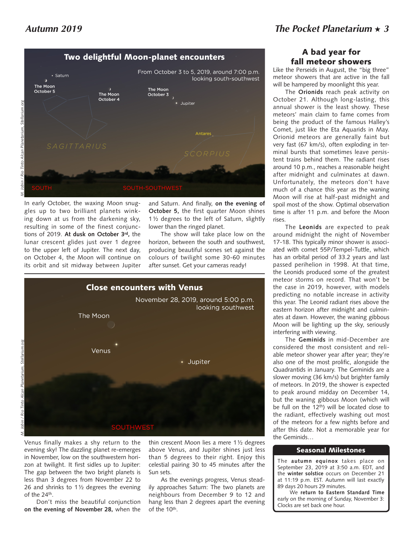

In early October, the waxing Moon snuggles up to two brilliant planets winking down at us from the darkening sky, resulting in some of the finest conjunctions of 2019. **At dusk on October 3rd,** the lunar crescent glides just over 1 degree to the upper left of Jupiter. The next day, on October 4, the Moon will continue on its orbit and sit midway between Jupiter

and Saturn. And finally, **on the evening of October 5,** the first quarter Moon shines 1 ½ degrees to the left of Saturn, slightly lower than the ringed planet.

The show will take place low on the horizon, between the south and southwest, producing beautiful scenes set against the colours of twilight some 30-60 minutes after sunset. Get your cameras ready!



Venus finally makes a shy return to the evening sky! The dazzling planet re-emerges in November, low on the southwestern horizon at twilight. It first sidles up to Jupiter: The gap between the two bright planets is less than 3 degrees from November 22 to 26 and shrinks to 1 $\frac{1}{2}$  degrees the evening of the 24th.

Don't miss the beautiful conjunction **on the evening of November 28,** when the

thin crescent Moon lies a mere 1½ degrees above Venus, and Jupiter shines just less than 5 degrees to their right. Enjoy this celestial pairing 30 to 45 minutes after the Sun sets.

As the evenings progress, Venus steadily approaches Saturn: The two planets are neighbours from December 9 to 12 and hang less than 2 degrees apart the evening of the 10th.

## A bad year for fall meteor showers

Like the Perseids in August, the "big three" meteor showers that are active in the fall will be hampered by moonlight this year.

The **Orionids** reach peak activity on October 21. Although long-lasting, this annual shower is the least showy. These meteors' main claim to fame comes from being the product of the famous Halley's Comet, just like the Eta Aquarids in May. Orionid meteors are generally faint but very fast (67 km/s), often exploding in terminal bursts that sometimes leave persistent trains behind them. The radiant rises around 10 p.m., reaches a reasonable height after midnight and culminates at dawn. Unfortunately, the meteors don't have much of a chance this year as the waning Moon will rise at half-past midnight and spoil most of the show. Optimal observation time is after 11 p.m. and before the Moon rises.

The **Leonids** are expected to peak around midnight the night of November 17-18. This typically minor shower is associated with comet 55P/Tempel-Tuttle, which has an orbital period of 33.2 years and last passed perihelion in 1998. At that time, the Leonids produced some of the greatest meteor storms on record. That won't be the case in 2019, however, with models predicting no notable increase in activity this year. The Leonid radiant rises above the eastern horizon after midnight and culminates at dawn. However, the waning gibbous Moon will be lighting up the sky, seriously interfering with viewing.

The **Geminids** in mid-December are considered the most consistent and reliable meteor shower year after year; they're also one of the most prolific, alongside the Quadrantids in January. The Geminids are a slower moving (36 km/s) but brighter family of meteors. In 2019, the shower is expected to peak around midday on December 14, but the waning gibbous Moon (which will be full on the 12<sup>th</sup>) will be located close to the radiant, effectively washing out most of the meteors for a few nights before and after this date. Not a memorable year for the Geminids…

#### Seasonal Milestones

The **autumn equinox** takes place on September 23, 2019 at 3:50 a.m. EDT, and the **winter solstice** occurs on December 21 at 11:19 p.m. EST. Autumn will last exactly 89 days 20 hours 29 minutes.

We **return to Eastern Standard Time** early on the morning of Sunday, November 3: Clocks are set back one hour.